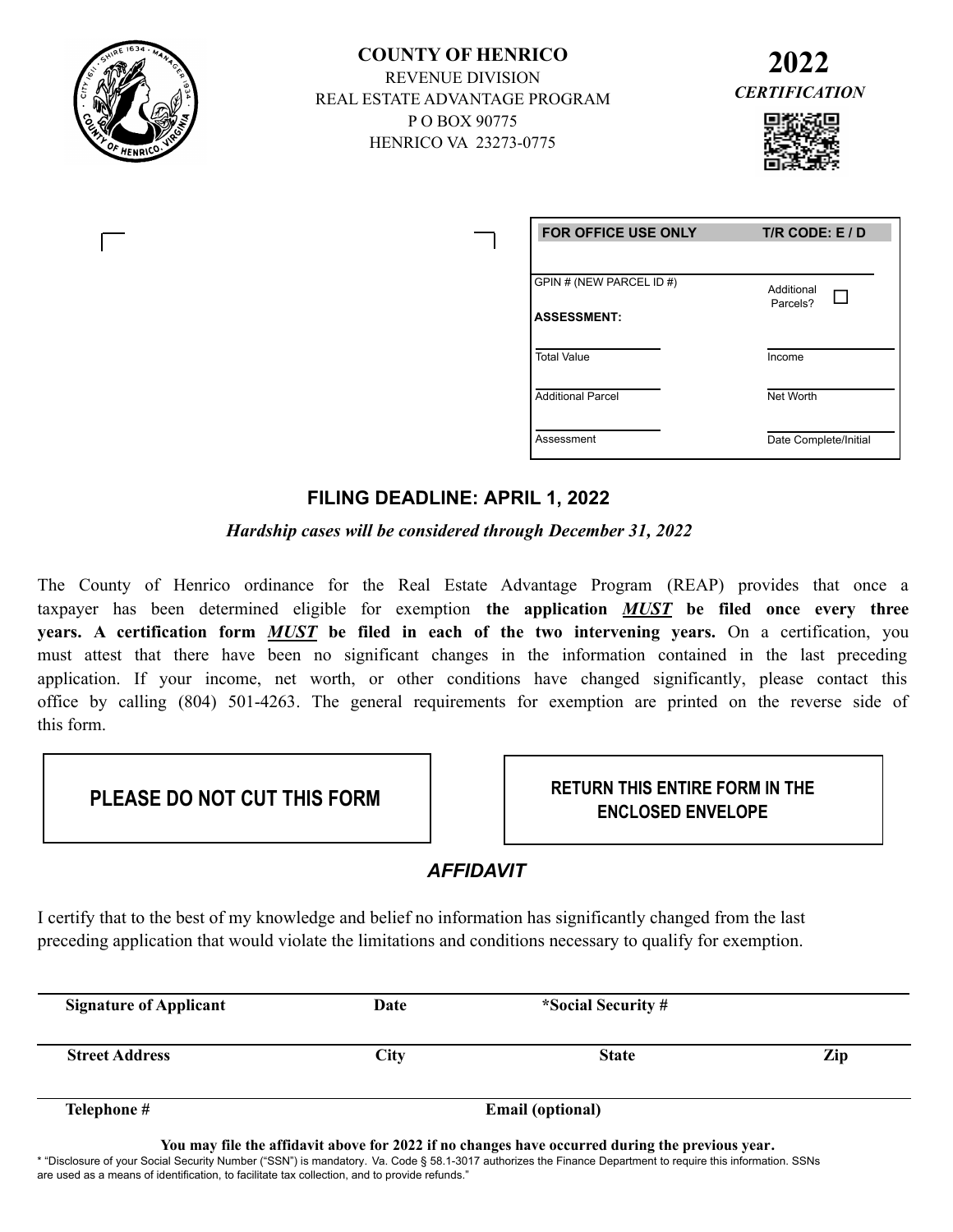

**COUNTY OF HENRICO** REVENUE DIVISION REAL ESTATE ADVANTAGE PROGRAM P O BOX 90775 HENRICO VA 23273-0775





| <b>FOR OFFICE USE ONLY</b>                     | T/R CODE: $E / D$      |  |
|------------------------------------------------|------------------------|--|
| GPIN # (NEW PARCEL ID #)<br><b>ASSESSMENT:</b> | Additional<br>Parcels? |  |
| <b>Total Value</b>                             | Income                 |  |
| <b>Additional Parcel</b>                       | Net Worth              |  |
| Assessment                                     | Date Complete/Initial  |  |

# **FILING DEADLINE: APRIL 1, 2022**

*Hardship cases will be considered through December 31, 2022*

The County of Henrico ordinance for the Real Estate Advantage Program (REAP) provides that once a taxpayer has been determined eligible for exemption **the application** *MUST* **be filed once every three years. A certification form** *MUST* **be filed in each of the two intervening years.** On a certification, you must attest that there have been no significant changes in the information contained in the last preceding application. If your income, net worth, or other conditions have changed significantly, please contact this office by calling (804) 501-4263. The general requirements for exemption are printed on the reverse side of this form.

**RETURN THIS ENTIRE FORM IN THE**  PLEASE DO NOT CUT THIS FORM **PLEASE DO NOT CUT THIS FORM** 

# *AFFIDAVIT*

I certify that to the best of my knowledge and belief no information has significantly changed from the last preceding application that would violate the limitations and conditions necessary to qualify for exemption.

| <b>Signature of Applicant</b> | Date                    | *Social Security # |     |
|-------------------------------|-------------------------|--------------------|-----|
| <b>Street Address</b>         | City                    | <b>State</b>       | Zip |
| Telephone #                   | <b>Email (optional)</b> |                    |     |

**You may file the affidavit above for 2022 if no changes have occurred during the previous year.** \* "Disclosure of your Social Security Number ("SSN") is mandatory. Va. Code § 58.1-3017 authorizes the Finance Department to require this information. SSNs are used as a means of identification, to facilitate tax collection, and to provide refunds."